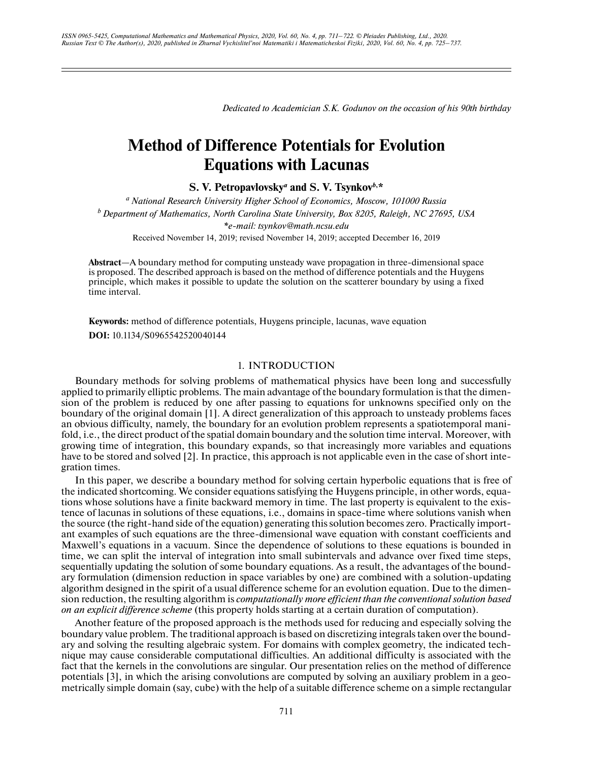*Dedicated to Academician S.K. Godunov on the occasion of his 90th birthday*

# **Method of Difference Potentials for Evolution Equations with Lacunas**

**S. V. Petropavlovsky***<sup>a</sup>*  **and S. V. Tsynkov***b***, \***

*a National Research University Higher School of Economics, Moscow, 101000 Russia b Department of Mathematics, North Carolina State University, Box 8205, Raleigh, NC 27695, USA \*e-mail: tsynkov@math.ncsu.edu* Received November 14, 2019; revised November 14, 2019; accepted December 16, 2019

**Abstract**—A boundary method for computing unsteady wave propagation in three-dimensional space is proposed. The described approach is based on the method of difference potentials and the Huygens principle, which makes it possible to update the solution on the scatterer boundary by using a fixed time interval.

**Keywords:** method of difference potentials, Huygens principle, lacunas, wave equation **DOI:** 10.1134/S0965542520040144

# 1. INTRODUCTION

Boundary methods for solving problems of mathematical physics have been long and successfully applied to primarily elliptic problems. The main advantage of the boundary formulation is that the dimension of the problem is reduced by one after passing to equations for unknowns specified only on the boundary of the original domain [1]. A direct generalization of this approach to unsteady problems faces an obvious difficulty, namely, the boundary for an evolution problem represents a spatiotemporal manifold, i.e., the direct product of the spatial domain boundary and the solution time interval. Moreover, with growing time of integration, this boundary expands, so that increasingly more variables and equations have to be stored and solved [2]. In practice, this approach is not applicable even in the case of short integration times.

In this paper, we describe a boundary method for solving certain hyperbolic equations that is free of the indicated shortcoming. We consider equations satisfying the Huygens principle, in other words, equations whose solutions have a finite backward memory in time. The last property is equivalent to the existence of lacunas in solutions of these equations, i.e., domains in space-time where solutions vanish when the source (the right-hand side of the equation) generating this solution becomes zero. Practically important examples of such equations are the three-dimensional wave equation with constant coefficients and Maxwell's equations in a vacuum. Since the dependence of solutions to these equations is bounded in time, we can split the interval of integration into small subintervals and advance over fixed time steps, sequentially updating the solution of some boundary equations. As a result, the advantages of the boundary formulation (dimension reduction in space variables by one) are combined with a solution-updating algorithm designed in the spirit of a usual difference scheme for an evolution equation. Due to the dimension reduction, the resulting algorithm is *computationally more efficient than the conventional solution based on an explicit difference scheme* (this property holds starting at a certain duration of computation).

Another feature of the proposed approach is the methods used for reducing and especially solving the boundary value problem. The traditional approach is based on discretizing integrals taken over the boundary and solving the resulting algebraic system. For domains with complex geometry, the indicated technique may cause considerable computational difficulties. An additional difficulty is associated with the fact that the kernels in the convolutions are singular. Our presentation relies on the method of difference potentials [3], in which the arising convolutions are computed by solving an auxiliary problem in a geometrically simple domain (say, cube) with the help of a suitable difference scheme on a simple rectangular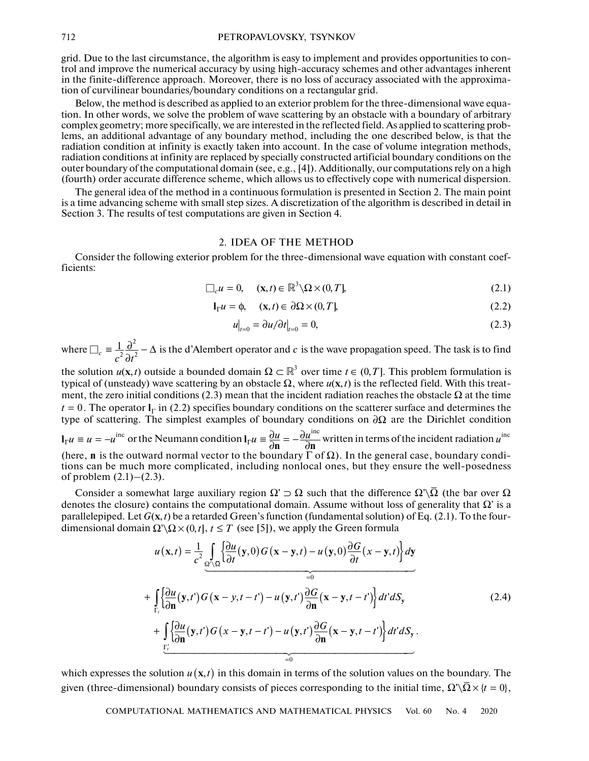grid. Due to the last circumstance, the algorithm is easy to implement and provides opportunities to control and improve the numerical accuracy by using high-accuracy schemes and other advantages inherent in the finite-difference approach. Moreover, there is no loss of accuracy associated with the approximation of curvilinear boundaries/boundary conditions on a rectangular grid.

Below, the method is described as applied to an exterior problem for the three-dimensional wave equation. In other words, we solve the problem of wave scattering by an obstacle with a boundary of arbitrary complex geometry; more specifically, we are interested in the reflected field. As applied to scattering problems, an additional advantage of any boundary method, including the one described below, is that the radiation condition at infinity is exactly taken into account. In the case of volume integration methods, radiation conditions at infinity are replaced by specially constructed artificial boundary conditions on the outer boundary of the computational domain (see, e.g., [4]). Additionally, our computations rely on a high (fourth) order accurate difference scheme, which allows us to effectively cope with numerical dispersion.

The general idea of the method in a continuous formulation is presented in Section 2. The main point is a time advancing scheme with small step sizes. A discretization of the algorithm is described in detail in Section 3. The results of test computations are given in Section 4.

### 2. IDEA OF THE METHOD

Consider the following exterior problem for the three-dimensional wave equation with constant coefficients:

$$
\Box_c u = 0, \quad (\mathbf{x}, t) \in \mathbb{R}^3 \setminus \Omega \times (0, T], \tag{2.1}
$$

$$
\mathbf{l}_{\Gamma}u = \phi, \quad (\mathbf{x}, t) \in \partial \Omega \times (0, T], \tag{2.2}
$$

$$
u|_{t=0} = \partial u / \partial t|_{t=0} = 0,
$$
\n(2.3)

where  $\Box_c \equiv \frac{1}{2} \frac{\partial^2}{\partial z^2} - \Delta$  is the d'Alembert operator and c is the wave propagation speed. The task is to find ∂ 2  $c \equiv \frac{1}{2} \frac{\partial^2}{\partial t^2}$  $c^2 \partial t$  $\Box_c \equiv \frac{1}{2} \frac{\partial^2}{\partial c^2} - \Delta$  is the d'Alembert operator and c

the solution  $u(\mathbf{x}, t)$  outside a bounded domain  $\Omega \subset \mathbb{R}^3$  over time  $t \in (0, T]$ . This problem formulation is typical of (unsteady) wave scattering by an obstacle  $\Omega$ , where  $u(\mathbf{x},t)$  is the reflected field. With this treatment, the zero initial conditions (2.3) mean that the incident radiation reaches the obstacle  $\Omega$  at the time  $t = 0$ . The operator  $I_{\Gamma}$  in (2.2) specifies boundary conditions on the scatterer surface and determines the type of scattering. The simplest examples of boundary conditions on  $\partial\Omega$  are the Dirichlet condition  $I_{\Gamma} u \equiv u = -u^{\text{inc}}$  or the Neumann condition  $I_{\Gamma} u \equiv \frac{\partial u}{\partial n} = -\frac{\partial u^{\text{inc}}}{\partial n}$  written in terms of the incident radiation (here, **n** is the outward normal vector to the boundary  $\Gamma$  of  $\Omega$ ). In the general case, boundary conditions can be much more complicated, including nonlocal ones, but they ensure the well-posedness of problem  $(2.1)$ – $(2.3)$ . inc *u*

Consider a somewhat large auxiliary region  $\Omega' \supset \Omega$  such that the difference  $\Omega' \setminus \overline{\Omega}$  (the bar over  $\Omega$ denotes the closure) contains the computational domain. Assume without loss of generality that  $\Omega'$  is a parallelepiped. Let  $G(x, t)$  be a retarded Green's function (fundamental solution) of Eq. (2.1). To the fourdimensional domain  $\Omega \setminus \Omega \times (0, t]$ ,  $t \leq T$  (see [5]), we apply the Green formula

$$
u(\mathbf{x},t) = \frac{1}{c^2} \underbrace{\int_{\Omega' \backslash \overline{\Omega}} \left\{ \frac{\partial u}{\partial t}(\mathbf{y},0) G(\mathbf{x}-\mathbf{y},t) - u(\mathbf{y},0) \frac{\partial G}{\partial t}(\mathbf{x}-\mathbf{y},t) \right\} d\mathbf{y}}_{=0}
$$
  
+ 
$$
\int_{\Gamma_t} \left\{ \frac{\partial u}{\partial \mathbf{n}}(\mathbf{y},t') G(\mathbf{x}-\mathbf{y},t-t') - u(\mathbf{y},t') \frac{\partial G}{\partial \mathbf{n}}(\mathbf{x}-\mathbf{y},t-t') \right\} dt' dS_{\mathbf{y}}
$$
  
+ 
$$
\int_{\Gamma_t} \left\{ \frac{\partial u}{\partial \mathbf{n}}(\mathbf{y},t') G(\mathbf{x}-\mathbf{y},t-t') - u(\mathbf{y},t') \frac{\partial G}{\partial \mathbf{n}}(\mathbf{x}-\mathbf{y},t-t') \right\} dt' dS_{\mathbf{y}}
$$
 (2.4)

which expresses the solution  $u(\mathbf{x},t)$  in this domain in terms of the solution values on the boundary. The given (three-dimensional) boundary consists of pieces corresponding to the initial time,  $\Omega' \backslash \overline{\Omega} \times \{t = 0\}$ ,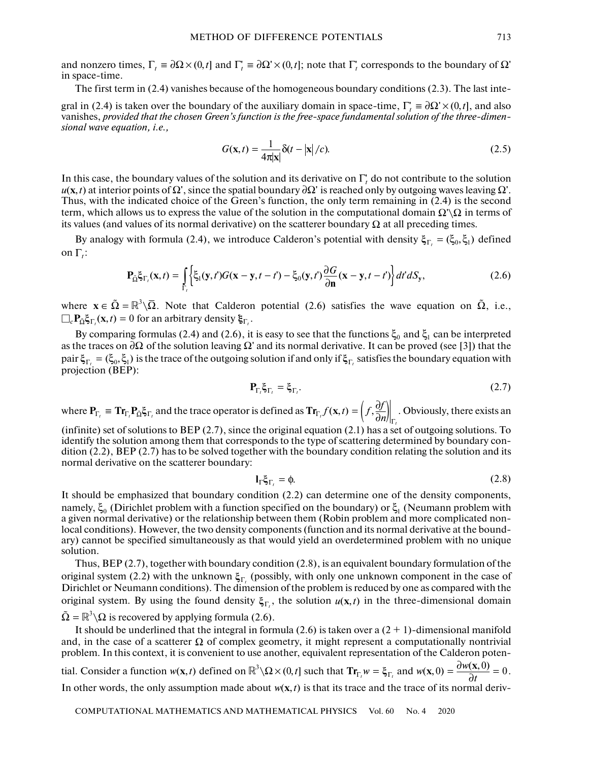and nonzero times,  $\Gamma_t \equiv \partial \Omega \times (0, t]$  and  $\Gamma_t \equiv \partial \Omega' \times (0, t]$ ; note that  $\Gamma_t$  corresponds to the boundary of  $\Omega'$ in space-time.

The first term in (2.4) vanishes because of the homogeneous boundary conditions (2.3). The last inte-

gral in (2.4) is taken over the boundary of the auxiliary domain in space-time,  $\Gamma_t = \partial \Omega \times (0, t]$ , and also vanishes, *provided that the chosen Green's function is the free-space fundamental solution of the three-dimensional wave equation, i.e.,*

$$
G(\mathbf{x},t) = \frac{1}{4\pi|\mathbf{x}|}\delta(t-|\mathbf{x}|/c).
$$
 (2.5)

In this case, the boundary values of the solution and its derivative on  $\Gamma_t$  do not contribute to the solution  $u(x, t)$  at interior points of  $\Omega'$ , since the spatial boundary  $\partial \Omega'$  is reached only by outgoing waves leaving  $\Omega'$ . Thus, with the indicated choice of the Green's function, the only term remaining in (2.4) is the second term, which allows us to express the value of the solution in the computational domain  $\Omega'\backslash\Omega$  in terms of its values (and values of its normal derivative) on the scatterer boundary  $\Omega$  at all preceding times.

on  $\Gamma_t$ :

By analogy with formula (2.4), we introduce Calderon's potential with density 
$$
\xi_{\Gamma_t} = (\xi_0, \xi_1)
$$
 defined  
on  $\Gamma_t$ :  

$$
\mathbf{P}_{\tilde{\Omega}} \xi_{\Gamma_t}(\mathbf{x}, t) = \int_{\Gamma_t} \left\{ \xi_1(\mathbf{y}, t') G(\mathbf{x} - \mathbf{y}, t - t') - \xi_0(\mathbf{y}, t') \frac{\partial G}{\partial \mathbf{n}} (\mathbf{x} - \mathbf{y}, t - t') \right\} dt' dS_{\mathbf{y}},
$$
(2.6)  
where  $\mathbf{x} \in \tilde{\Omega} = \mathbb{R}^3 \setminus \overline{\Omega}$ . Note that Calderon potential (2.6) satisfies the wave equation on  $\tilde{\Omega}$ , i.e.,

where  $\mathbf{x} \in \tilde{\Omega} = \mathbb{R}^3 \setminus \overline{\Omega}$ . Note that Calderor  $\Box_c \mathbf{P}_{\Omega} \xi_{\Gamma_r}(\mathbf{x}, t) = 0$  for an arbitrary density  $\xi_{\Gamma_r}$ .

By comparing formulas (2.4) and (2.6), it is easy to see that the functions  $\xi_0$  and  $\xi_1$  can be interpreted as the traces on  $\partial\Omega$  of the solution leaving  $\Omega$ ' and its normal derivative. It can be proved (see [3]) that the pair  $\xi_{\Gamma_f} = (\xi_0, \xi_1)$  is the trace of the outgoing solution if and only if  $\xi_{\Gamma_f}$  satisfies the boundary equation with projection (BEP):

$$
\mathbf{P}_{\Gamma_{i}}\xi_{\Gamma_{i}}=\xi_{\Gamma_{i}}.\tag{2.7}
$$

 $P_{\Gamma_i} \xi_{\Gamma_i} = \xi_{\Gamma_i}$ . (2.7)<br>where  $P_{\Gamma_i} \equiv \text{Tr}_{\Gamma_i} P_{\Omega} \xi_{\Gamma_i}$  and the trace operator is defined as  $\text{Tr}_{\Gamma_i} f(\mathbf{x}, t) = \left( f, \frac{\partial f}{\partial n} \right) \Big|_{\Gamma_i}$ . Obviously, there exists an  $\mathbf{Tr}_{\Gamma_t} f(\mathbf{x}, t) = \left(f, \frac{\partial f}{\partial n}\right)$ 

(infinite) set of solutions to BEP (2.7), since the original equation (2.1) has a set of outgoing solutions. To identify the solution among them that corresponds to the type of scattering determined by boundary condition (2.2), BEP (2.7) has to be solved together with the boundary condition relating the solution and its normal derivative on the scatterer boundary:

$$
\mathbf{l}_{\Gamma}\xi_{\Gamma_i} = \phi. \tag{2.8}
$$

It should be emphasized that boundary condition (2.2) can determine one of the density components, namely,  $\xi_0$  (Dirichlet problem with a function specified on the boundary) or  $\xi_1$  (Neumann problem with a given normal derivative) or the relationship between them (Robin problem and more complicated nonlocal conditions). However, the two density components (function and its normal derivative at the boundary) cannot be specified simultaneously as that would yield an overdetermined problem with no unique solution. ξ<sub>0</sub> (Dirichlet problem with a function specified on the boundary) or ξ<sub>1</sub>

Thus, BEP (2.7), together with boundary condition (2.8), is an equivalent boundary formulation of the original system (2.2) with the unknown  $\xi_{\Gamma_t}$  (possibly, with only one unknown component in the case of Dirichlet or Neumann conditions). The dimension of the problem is reduced by one as compared with the original system. By using the found density  $\xi_{\Gamma_t}$ , the solution  $u(\mathbf{x},t)$  in the three-dimensional domain Thus, F<br>
original sy<br>
Dirichlet c<br>
original sy<br>  $\tilde{\Omega} = \mathbb{R}^3 \backslash \Omega$ 

 $\tilde{\Omega} = \mathbb{R}^3 \backslash \Omega$  is recovered by applying formula (2.6).

It should be underlined that the integral in formula (2.6) is taken over a  $(2 + 1)$ -dimensional manifold and, in the case of a scatterer  $\Omega$  of complex geometry, it might represent a computationally nontrivial problem. In this context, it is convenient to use another, equivalent representation of the Calderon poten-

tial. Consider a function  $w(\mathbf{x}, t)$  defined on  $\mathbb{R}^3 \setminus \Omega \times (0, t]$  such that  $\mathbf{Tr}_{\Gamma_t} w = \xi_{\Gamma_t}$  and  $w(\mathbf{x}, 0) = \frac{\partial w(\mathbf{x}, 0)}{\partial t} = 0$ . In other words, the only assumption made about  $w(x, t)$  is that its trace and the trace of its normal deriv- $\mathbf{x},0) = \frac{\partial w(\mathbf{x})}{\partial x}$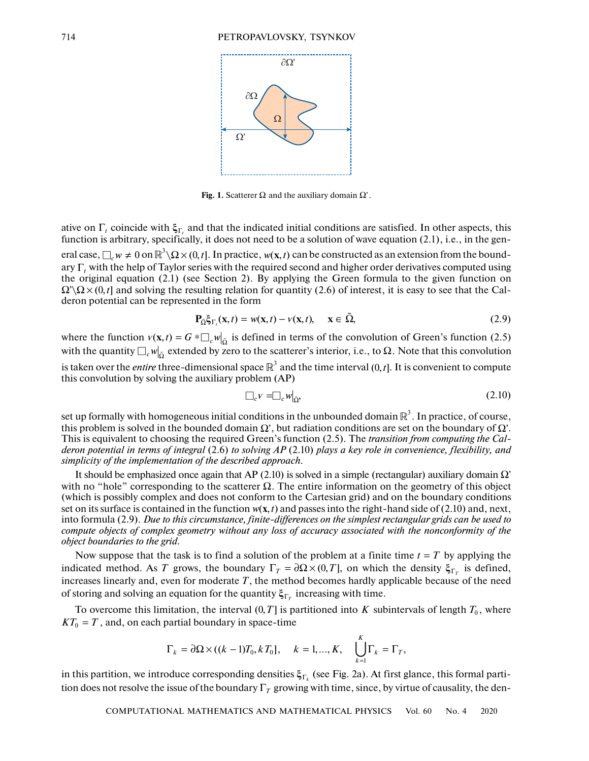

Fig. 1. Scatterer  $\Omega$  and the auxiliary domain  $\Omega'$ .

ative on  $\Gamma_t$  coincide with  $\xi_{\Gamma}$  and that the indicated initial conditions are satisfied. In other aspects, this function is arbitrary, specifically, it does not need to be a solution of wave equation (2.1), i.e., in the general case,  $\Box_c w \neq 0$  on  $\mathbb{R}^3\backslash\Omega\times(0,t]$ . In practice,  $w(\mathbf{x},t)$  can be constructed as an extension from the boundary  $\Gamma_t$  with the help of Taylor series with the required second and higher order derivatives computed using<br>the original equation (2.1) (see Section 2). By applying the Green formula to the given function on<br> $\Omega'\Omega \times (0,t]$ the original equation (2.1) (see Section 2). By applying the Green formula to the given function on  $\Omega' \Omega \times (0, t]$  and solving the resulting relation for quantity (2.6) of interest, it is easy to see that the Cal-<br>deron potential can be represented in the form<br> $P_{\Omega} \xi_{\Gamma}(\mathbf{x}, t) = w(\mathbf{x}, t) - v(\mathbf{x}, t), \quad \mathbf{x} \in \tilde{\Omega},$  (2.9) deron potential can be represented in the form  $\Gamma_t$  coincide with  $\xi_{\Gamma_t}$ 

$$
\mathbf{P}_{\tilde{\Omega}}\xi_{\Gamma_t}(\mathbf{x},t) = w(\mathbf{x},t) - v(\mathbf{x},t), \quad \mathbf{x} \in \tilde{\Omega},\tag{2.9}
$$

where the function  $v(\mathbf{x},t) = G \cdot \Box_c w|_{\tilde{\Omega}}$  is defined in terms of the convolution of Green's function (2.5) with the quantity  $\Box_c w|_{\tilde{O}}$  extended by zero to the scatterer's interior, i.e., to  $\Omega$ . Note that this convolution is taken over the *entire* three-dimensional space  $\mathbb{R}^3$  and the time interval  $(0, t]$ . It is convenient to compute this convolution by solving the auxiliary problem (AP)<br> $\Box_c v = \Box_c w|_{\Omega}$ , (2.10) this convolution by solving the auxiliary problem (AP)  $P_{\tilde{\Omega}} \xi_{\Gamma_r}(\mathbf{x})$ <br> $v(\mathbf{x}, t) = G * \square_c w|_{\tilde{\Omega}}$  $\mathbf{P}_{\tilde{\Omega}} \xi_{\Gamma_i}(\mathbf{x}, t) = w(\mathbf{x}, t) - v(\mathbf{x}, t), \quad \mathbf{x} \in \Omega,$ <br>  $\text{sn } v(\mathbf{x}, t) = G * \square_c w|_{\tilde{\Omega}}$  is defined in terms of the convolutio  $\square_c w|_{\tilde{\Omega}}$  extended by zero to the scatterer's interior, i.e., to  $\Omega$ 

$$
\Box_c v = \Box_c w|_{\tilde{\Omega}},\tag{2.10}
$$

set up formally with homogeneous initial conditions in the unbounded domain  $\mathbb{R}^3$ . In practice, of course, this problem is solved in the bounded domain  $\Omega'$ , but radiation conditions are set on the boundary of  $\Omega'$ . This is equivalent to choosing the required Green's function (2.5). The *transition from computing the Calderon potential in terms of integral* (2.6) *to solving AP* (2.10) *plays a key role in convenience, flexibility, and simplicity of the implementation of the described approach.*

It should be emphasized once again that AP (2.10) is solved in a simple (rectangular) auxiliary domain  $\Omega$ with no "hole" corresponding to the scatterer  $\Omega$ . The entire information on the geometry of this object (which is possibly complex and does not conform to the Cartesian grid) and on the boundary conditions set on its surface is contained in the function  $w(x, t)$  and passes into the right-hand side of (2.10) and, next, into formula (2.9). *Due to this circumstance, finite-differences on the simplest rectangular grids can be used to compute objects of complex geometry without any loss of accuracy associated with the nonconformity of the object boundaries to the grid.*

Now suppose that the task is to find a solution of the problem at a finite time  $t = T$  by applying the indicated method. As T grows, the boundary  $\Gamma_T = \partial \Omega \times (0, T]$ , on which the density  $\xi_{\Gamma_T}$  is defined, increases linearly and, even for moderate  $T$ , the method becomes hardly applicable because of the need of storing and solving an equation for the quantity  $\xi_{\Gamma_T}$  increasing with time.

To overcome this limitation, the interval  $(0, T]$  is partitioned into K subintervals of length  $T_0$ , where  $KT_0 = T$ , and, on each partial boundary in space-time

$$
\Gamma_k = \partial \Omega \times ((k-1)T_0, kT_0], \quad k = 1, ..., K, \quad \bigcup_{k=1}^K \Gamma_k = \Gamma_T,
$$

in this partition, we introduce corresponding densities  $\xi_{\Gamma_k}$  (see Fig. 2a). At first glance, this formal partition does not resolve the issue of the boundary  $\Gamma_T$  growing with time, since, by virtue of causality, the den-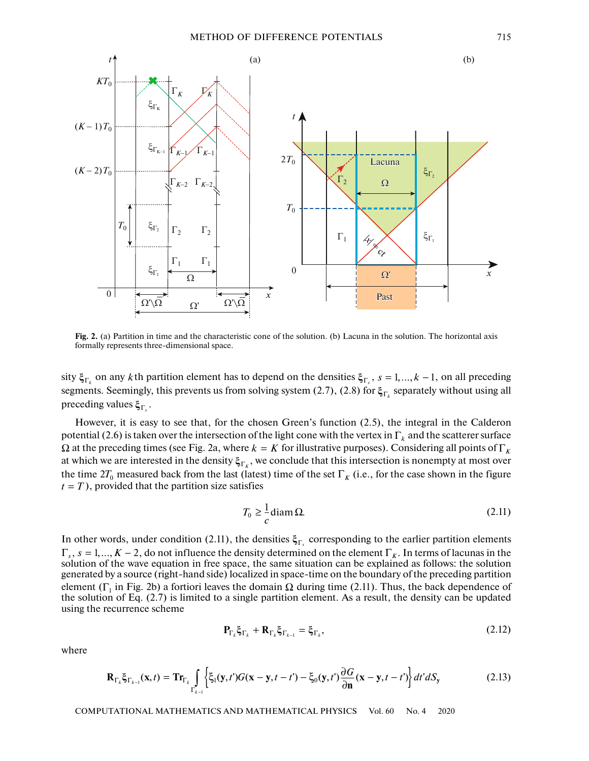

**Fig. 2.** (a) Partition in time and the characteristic cone of the solution. (b) Lacuna in the solution. The horizontal axis formally represents three-dimensional space.

sity  $\xi_{\Gamma_k}$  on any kth partition element has to depend on the densities  $\xi_{\Gamma_s}$ ,  $s = 1,..., k-1$ , on all preceding segments. Seemingly, this prevents us from solving system  $(2.7)$ ,  $(2.8)$  for  $\zeta_{\Gamma_k}$  separately without using all preceding values  $\xi_{\Gamma_s}$ .

However, it is easy to see that, for the chosen Green's function (2.5), the integral in the Calderon potential (2.6) is taken over the intersection of the light cone with the vertex in  $\Gamma_k$  and the scatterer surface  $\Omega$  at the preceding times (see Fig. 2a, where  $k = K$  for illustrative purposes). Considering all points of  $\Gamma_k$ at which we are interested in the density  $\xi_{\Gamma_K}$ , we conclude that this intersection is nonempty at most over the time  $2T_0$  measured back from the last (latest) time of the set  $\Gamma_K$  (i.e., for the case shown in the figure  $t = T$ ), provided that the partition size satisfies

$$
T_0 \ge \frac{1}{c} \operatorname{diam} \Omega. \tag{2.11}
$$

In other words, under condition (2.11), the densities  $\xi_{\Gamma_s}$  corresponding to the earlier partition elements  $\Gamma_s$ ,  $s = 1, ..., K - 2$ , do not influence the density determined on the element  $\Gamma_K$ . In terms of lacunas in the solution of the wave equation in free space, the same situation can be explained as follows: the solution generated by a source (right-hand side) localized in space-time on the boundary of the preceding partition element ( $\Gamma_1$  in Fig. 2b) a fortiori leaves the domain  $\Omega$  during time (2.11). Thus, the back dependence of the solution of Eq. (2.7) is limited to a single partition element. As a result, the density can be updated using the recurrence scheme

$$
\mathbf{P}_{\Gamma_k}\xi_{\Gamma_k} + \mathbf{R}_{\Gamma_k}\xi_{\Gamma_{k-1}} = \xi_{\Gamma_k},\tag{2.12}
$$

where

$$
\mathbf{R}_{\Gamma_k} \xi_{\Gamma_{k-1}}(\mathbf{x}, t) = \mathbf{T} \mathbf{r}_{\Gamma_k} \int_{\Gamma_{k-1}} \left\{ \xi_i(\mathbf{y}, t') G(\mathbf{x} - \mathbf{y}, t - t') - \xi_0(\mathbf{y}, t') \frac{\partial G}{\partial \mathbf{n}}(\mathbf{x} - \mathbf{y}, t - t') \right\} dt' dS_{\mathbf{y}}
$$
(2.13)

COMPUTATIONAL MATHEMATICS AND MATHEMATICAL PHYSICS Vol. 60 No. 4 2020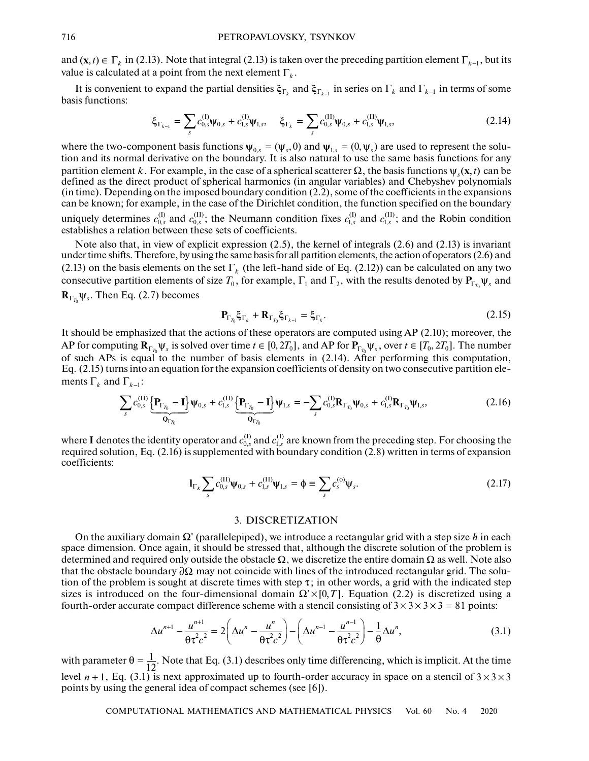and  $(x, t) \in \Gamma_k$  in (2.13). Note that integral (2.13) is taken over the preceding partition element  $\Gamma_{k-1}$ , but its value is calculated at a point from the next element  $\Gamma_k$ .

It is convenient to expand the partial densities  $\xi_{\Gamma_k}$  and  $\xi_{\Gamma_{k-1}}$  in series on  $\Gamma_k$  and  $\Gamma_{k-1}$  in terms of some basis functions:

$$
\xi_{\Gamma_{k-1}} = \sum_{s} c_{0,s}^{(1)} \psi_{0,s} + c_{1,s}^{(1)} \psi_{1,s}, \quad \xi_{\Gamma_k} = \sum_{s} c_{0,s}^{(11)} \psi_{0,s} + c_{1,s}^{(11)} \psi_{1,s}, \tag{2.14}
$$

where the two-component basis functions  $\psi_{0,s} = (\psi_s, 0)$  and  $\psi_{1,s} = (0, \psi_s)$  are used to represent the solution and its normal derivative on the boundary. It is also natural to use the same basis functions for any partition element k. For example, in the case of a spherical scatterer  $\Omega$ , the basis functions  $\psi_s(\mathbf{x}, t)$  can be defined as the direct product of spherical harmonics (in angular variables) and Chebyshev polynomials (in time). Depending on the imposed boundary condition (2.2), some of the coefficients in the expansions can be known; for example, in the case of the Dirichlet condition, the function specified on the boundary uniquely determines  $c_{0,s}^{(1)}$  and  $c_{0,s}^{(1)}$ ; the Neumann condition fixes  $c_{1,s}^{(1)}$  and  $c_{1,s}^{(1)}$ ; and the Robin condition establishes a relation between these sets of coefficients.  $c_{0,s}^{(1)}$  and  $c_{0,s}^{(1)}$ ; the Neumann condition fixes  $c_{1,s}^{(1)}$  and  $c_{1,s}^{(1)}$ 

Note also that, in view of explicit expression (2.5), the kernel of integrals (2.6) and (2.13) is invariant under time shifts. Therefore, by using the same basis for all partition elements, the action of operators (2.6) and (2.13) on the basis elements on the set  $\Gamma_k$  (the left-hand side of Eq. (2.12)) can be calculated on any two consecutive partition elements of size  $T_0$ , for example,  $\Gamma_1$  and  $\Gamma_2$ , with the results denoted by  $\mathbf{P}_{\Gamma_{T_0}} \psi_s$  and  $\mathbf{R}_{\Gamma_{\tau_0}} \psi_s$ . Then Eq. (2.7) becomes

$$
\mathbf{P}_{\Gamma_{T_0}}\xi_{\Gamma_k} + \mathbf{R}_{\Gamma_{T_0}}\xi_{\Gamma_{k-1}} = \xi_{\Gamma_k}.\tag{2.15}
$$

It should be emphasized that the actions of these operators are computed using AP (2.10); moreover, the AP for computing  $\mathbf{R}_{\Gamma_n}\psi_s$  is solved over time  $t \in [0, 2T_0]$ , and AP for  $\mathbf{P}_{\Gamma_n}\psi_s$ , over  $t \in [T_0, 2T_0]$ . The number of such APs is equal to the number of basis elements in (2.14). After performing this computation, Eq. (2.15) turns into an equation for the expansion coefficients of density on two consecutive partition elements  $\Gamma_k$  and  $\Gamma_{k-1}$ :  $\mathbf{R}_{\Gamma_{T_0}} \psi_s$  is solved over time  $t \in [0, 2T_0]$ , and AP for  $\mathbf{P}_{\Gamma_{T_0}} \psi_s$ , over  $t \in [T_0, 2T_0]$ 

$$
\sum_{s} c_{0,s}^{(\text{II})} \underbrace{\left\{ \mathbf{P}_{\Gamma_{T_0}} - \mathbf{I} \right\}}_{\mathbf{Q}_{\Gamma_{T_0}}} \Psi_{0,s} + c_{1,s}^{(\text{II})} \underbrace{\left\{ \mathbf{P}_{\Gamma_{T_0}} - \mathbf{I} \right\}}_{\mathbf{Q}_{\Gamma_{T_0}}} \Psi_{1,s} = - \sum_{s} c_{0,s}^{(\text{I})} \mathbf{R}_{\Gamma_{T_0}} \Psi_{0,s} + c_{1,s}^{(\text{I})} \mathbf{R}_{\Gamma_{T_0}} \Psi_{1,s}, \tag{2.16}
$$

where I denotes the identity operator and  $c_{0s}^{(1)}$  and  $c_{1s}^{(1)}$  are known from the preceding step. For choosing the required solution, Eq. (2.16) is supplemented with boundary condition (2.8) written in terms of expansion coefficients: **I** denotes the identity operator and  $c_{0,s}^{(1)}$  and  $c_{1,s}^{(1)}$ 

$$
\mathbf{I}_{\Gamma_K} \sum_{s} c_{0,s}^{(\text{II})} \mathbf{\Psi}_{0,s} + c_{1,s}^{(\text{II})} \mathbf{\Psi}_{1,s} = \phi \equiv \sum_{s} c_s^{(\phi)} \mathbf{\Psi}_s. \tag{2.17}
$$

### 3. DISCRETIZATION

On the auxiliary domain  $\Omega'$  (parallelepiped), we introduce a rectangular grid with a step size h in each space dimension. Once again, it should be stressed that, although the discrete solution of the problem is determined and required only outside the obstacle  $\Omega,$  we discretize the entire domain  $\Omega$  as well. Note also that the obstacle boundary  $\partial\Omega$  may not coincide with lines of the introduced rectangular grid. The solution of the problem is sought at discrete times with step  $\tau$ ; in other words, a grid with the indicated step sizes is introduced on the four-dimensional domain  $\Omega \times [0, T]$ . Equation (2.2) is discretized using a fourth-order accurate compact difference scheme with a stencil consisting of  $3 \times 3 \times 3 \times 3 = 81$  points:

$$
\Delta u^{n+1} - \frac{u^{n+1}}{\theta \tau^2 c^2} = 2 \left( \Delta u^n - \frac{u^n}{\theta \tau^2 c^2} \right) - \left( \Delta u^{n-1} - \frac{u^{n-1}}{\theta \tau^2 c^2} \right) - \frac{1}{\theta} \Delta u^n,
$$
\n(3.1)

with parameter  $\theta = \frac{1}{12}$ . Note that Eq. (3.1) describes only time differencing, which is implicit. At the time level  $n + 1$ , Eq. (3.1) is next approximated up to fourth-order accuracy in space on a stencil of  $3 \times 3 \times 3$ points by using the general idea of compact schemes (see [6]).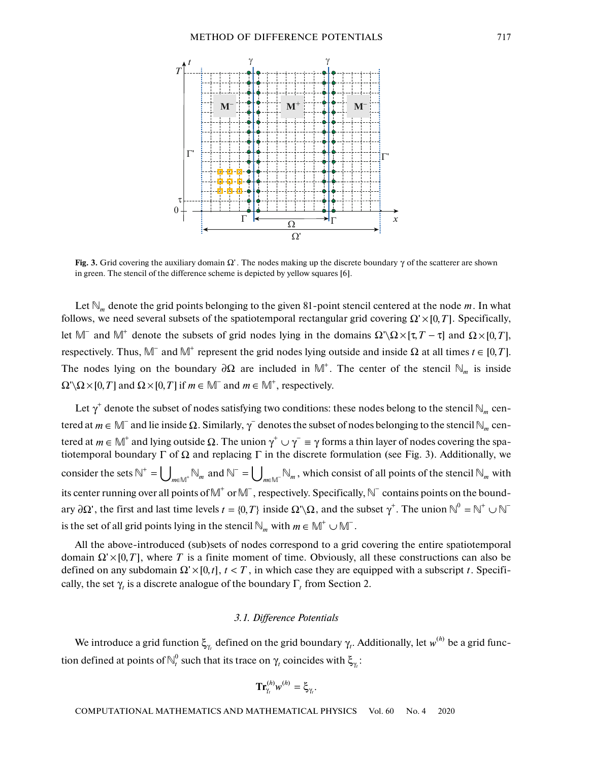

**Fig. 3.** Grid covering the auxiliary domain  $\Omega'$ . The nodes making up the discrete boundary  $\gamma$  of the scatterer are shown in green. The stencil of the difference scheme is depicted by yellow squares [6].

Let  $\mathbb{N}_m$  denote the grid points belonging to the given 81-point stencil centered at the node m. In what follows, we need several subsets of the spatiotemporal rectangular grid covering  $\Omega \times [0, T]$ . Specifically, let  $\mathbb{M}^-$  and  $\mathbb{M}^+$  denote the subsets of grid nodes lying in the domains  $\Omega' \backslash \Omega \times [\tau, T - \tau]$  and  $\Omega \times [0, T]$ , respectively. Thus, M<sup>-</sup> and M<sup>+</sup> represent the grid nodes lying outside and inside  $\Omega$  at all times  $t \in [0, T]$ . The nodes lying on the boundary  $\partial\Omega$  are included in  $\mathbb{M}^+$ . The center of the stencil  $\mathbb{N}_m$  is inside  $\Omega \setminus \Omega \times [0, T]$  and  $\Omega \times [0, T]$  if  $m \in \mathbb{M}^-$  and  $m \in \mathbb{M}^+$ , respectively.

Let  $\gamma^+$  denote the subset of nodes satisfying two conditions: these nodes belong to the stencil  $\mathbb{N}_m$  centered at  $m \in \mathbb{M}^-$  and lie inside  $\Omega$ . Similarly,  $\gamma^-$  denotes the subset of nodes belonging to the stencil  $\mathbb{N}_m$  centered at  $m \in \mathbb{M}^+$  and lying outside  $\Omega$ . The union  $\gamma^+ \cup \gamma^- \equiv \gamma$  forms a thin layer of nodes covering the spatiotemporal boundary  $\Gamma$  of  $\Omega$  and replacing  $\Gamma$  in the discrete formulation (see Fig. 3). Additionally, we consider the sets  $\mathbb{N}^+ = \bigcup_{m \in \mathbb{M}^+} \mathbb{N}_m$  and  $\mathbb{N}^- = \bigcup_{m \in \mathbb{M}^-} \mathbb{N}_m$ , which consist of all points of the stencil  $\mathbb{N}_m$  with its center running over all points of  $\mathbb{M}^+$  or  $\mathbb{M}^-$ , respectively. Specifically,  $\mathbb{N}^-$  contains points on the boundary  $\partial\Omega'$ , the first and last time levels  $t=\{0,T\}$  inside  $\Omega'\backslash\Omega$ , and the subset  $\gamma^{\pm}.$  The union  $\mathbb{N}^0=\mathbb{N}^+\cup\mathbb{N}^$ is the set of all grid points lying in the stencil  $\mathbb{N}_m$  with  $m \in \mathbb{M}^+ \cup \mathbb{M}^-$ .

All the above-introduced (sub)sets of nodes correspond to a grid covering the entire spatiotemporal domain  $\Omega$ ' × [0, *T*], where *T* is a finite moment of time. Obviously, all these constructions can also be defined on any subdomain  $\Omega \times [0, t]$ ,  $t < T$ , in which case they are equipped with a subscript t. Specifically, the set  $\gamma_t$  is a discrete analogue of the boundary  $\Gamma_t$  from Section 2.

# *3.1. Difference Potentials*

We introduce a grid function  $\xi_{\gamma_t}$  defined on the grid boundary  $\gamma_t$ . Additionally, let  $w^{(h)}$  be a grid function defined at points of  $\mathbb{N}_t^0$  such that its trace on  $\gamma_t$  coincides with  $\boldsymbol{\xi}_{\gamma_t}$ :

$$
\mathrm{\mathbf{{Tr}}}_{\gamma_t}^{(h)}w^{(h)}=\xi_{\gamma_t}.
$$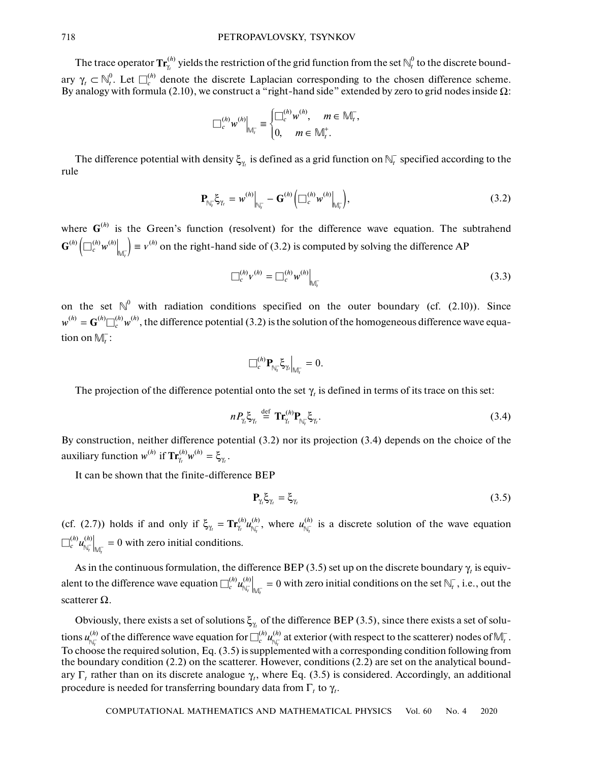The trace operator  $\mathbf{Tr}_{\gamma_t}^{(h)}$  yields the restriction of the grid function from the set  $\mathbb{N}_t^0$  to the discrete boundary  $\gamma_t \subset \mathbb{N}_t^0$ . Let  $\Box_c^{(n)}$  denote the discrete Laplacian corresponding to the chosen difference scheme. By analogy with formula (2.10), we construct a "right-hand side" extended by zero to grid nodes inside  $\Omega$ :  $(h)$ *t*  $\mathbf{Tr}_{\gamma_t}^{(h)}$  yields the restriction of the grid function from the set  $\mathbb{N}_t^0$  $\gamma_t \subset \mathbb{N}_t^0$ . Let  $\square_c^{(h)}$ Ω

$$
\Box_c^{(h)} w^{(h)}\Big|_{\mathbb{M}_r^-} \equiv \begin{cases} \Box_c^{(h)} w^{(h)}, & m \in \mathbb{M}_r^-, \\ 0, & m \in \mathbb{M}_r^+. \end{cases}
$$

The difference potential with density  $\xi_{\gamma_t}$  is defined as a grid function on  $\mathbb{N}_t^-$  specified according to the rule

$$
\mathbf{P}_{\mathbb{N}_r} \xi_{\gamma_t} = w^{(h)} \Big|_{\mathbb{N}_r^-} - \mathbf{G}^{(h)} \Big( \Box_c^{(h)} w^{(h)} \Big|_{\mathbb{N}_r^-} \Big), \tag{3.2}
$$

where  $G^{(h)}$  is the Green's function (resolvent) for the difference wave equation. The subtrahend on the right-hand side of (3.2) is computed by solving the difference AP  $\left(\bigcup_{c}^{(h)} w^{(h)}\big|_{\mathbb{M}_{t}^{-}}\right) \equiv v^{(h)}$  $\mathbf{G}^{(h)}\left(\Box_c^{(h)}w^{(h)}\Big|_{\mathbb{M}_l^{\tau}}\right)\equiv v^{(h)}$ 

$$
\Box_c^{(h)} v^{(h)} = \Box_c^{(h)} w^{(h)} \Big|_{\mathbb{M}_l^-}
$$
 (3.3)

on the set  $\mathbb{N}^0$  with radiation conditions specified on the outer boundary (cf. (2.10)). Since  $w^{(h)} = G^{(h)} \Box_c^{(h)} w^{(h)}$ , the difference potential (3.2) is the solution of the homogeneous difference wave equation on  $\mathbb{M}_t^-$ :

$$
\Box_c^{(h)} \mathbf{P}_{\mathbb{N}_t^-} \xi_{\gamma_t} \Big|_{\mathbb{M}_t^-} = 0.
$$

The projection of the difference potential onto the set  $\gamma_t$  is defined in terms of its trace on this set:

$$
nP_{\gamma_t} \xi_{\gamma_t} \stackrel{\text{def}}{=} \operatorname{Tr}_{\gamma_t}^{(h)} P_{\mathbb{N}_t} \xi_{\gamma_t}.
$$
 (3.4)

By construction, neither difference potential (3.2) nor its projection (3.4) depends on the choice of the auxiliary function  $w^{(h)}$  if  $\operatorname{Tr}_{\gamma_i}^{(h)}w^{(h)} = \xi_{\gamma_i}$ .  $\mathbf{Tr}_{\gamma_t}^{(h)} w^{(h)}$ 

It can be shown that the finite-difference BEP

$$
\mathbf{P}_{\gamma_i} \xi_{\gamma_i} = \xi_{\gamma_i} \tag{3.5}
$$

(cf. (2.7)) holds if and only if  $\xi_{\gamma_i} = Tr_{\gamma_i}^{(h)} u_{\text{NL}}^{(h)}$ , where  $u_{\text{NL}}^{(h)}$  is a discrete solution of the wave equation  $\left[\Box_c^{(h)} u_{\mathbb{N}_i^-}^{(h)}\right]_{\mathbb{N}_i^-} = 0$  with zero initial conditions.  $\gamma_t$   $\gamma_t$   $\gamma$ <sub>*t*</sub>  $\operatorname{Tr}_{\gamma_t}^{(h)} u_{\mathbb{N}_t^-}^{(h)}$ , where  $u_{\mathbb{N}_t^-}^{(h)}$ *t*  $u_{\mathbb{N}\mathbb{R}}^{(h)}$ 

As in the continuous formulation, the difference BEP (3.5) set up on the discrete boundary  $\gamma_t$  is equivalent to the difference wave equation  $\Box_c^{(h)}u_{\!\!N_f}^{(h)}\Big|_{\!\!M_r^{\tau}}=0$  with zero initial conditions on the set  $\mathbb{N}_t^-$  , i.e., out the scatterer  $\Omega$ .

Obviously, there exists a set of solutions  $\xi_{\gamma_t}$  of the difference BEP (3.5), since there exists a set of solutions  $u_{\mathbb{N}^-}^{(h)}$  of the difference wave equation for  $\Box_c^{(h)}u_{\mathbb{N}^-}^{(h)}$  at exterior (with respect to the scatterer) nodes of  $\mathbb{M}^-_l$  . To choose the required solution, Eq. (3.5) is supplemented with a corresponding condition following from the boundary condition (2.2) on the scatterer. However, conditions (2.2) are set on the analytical boundary  $\Gamma_t$  rather than on its discrete analogue  $\gamma_t$ , where Eq. (3.5) is considered. Accordingly, an additional procedure is needed for transferring boundary data from  $\Gamma_t$  to  $\gamma_t$ . *t t*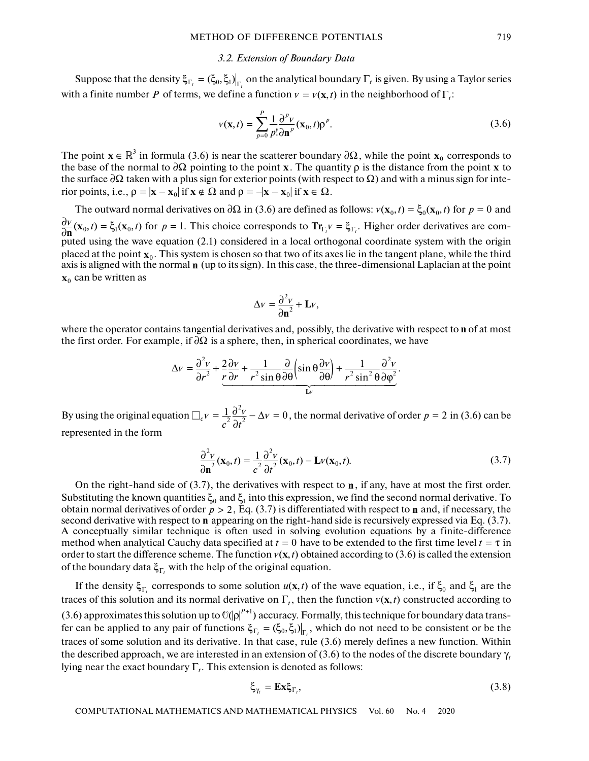#### *3.2. Extension of Boundary Data*

Suppose that the density  $\xi_{\Gamma_t} = (\xi_0, \xi_1)|_{\Gamma_t}$  on the analytical boundary  $\Gamma_t$  is given. By using a Taylor series with a finite number P of terms, we define a function  $v = v(\mathbf{x}, t)$  in the neighborhood of  $\Gamma_t$ :

$$
v(\mathbf{x},t) = \sum_{p=0}^{P} \frac{1}{p!} \frac{\partial^p v}{\partial \mathbf{n}^p} (\mathbf{x}_0, t) \rho^p.
$$
 (3.6)

The point  $\mathbf{x} \in \mathbb{R}^3$  in formula (3.6) is near the scatterer boundary  $\partial \Omega$ , while the point  $\mathbf{x}_0$  corresponds to the base of the normal to  $\partial \Omega$  pointing to the point  $\mathbf{x}$ . The quantity o is the distance fr the base of the normal to  $\partial \Omega$  pointing to the point **x**. The quantity  $\rho$  is the distance from the point **x** to the surface  $\partial \Omega$  taken with a plus sign for exterior points (with respect to  $\Omega$ ) and with a minus sig the surface  $\partial\Omega$  taken with a plus sign for exterior points (with respect to  $\Omega$ ) and with a minus sign for interior points, i.e.,  $\rho = |\mathbf{x} - \mathbf{x}_0|$  if  $\mathbf{x} \notin \Omega$  and  $\rho = -|\mathbf{x} - \mathbf{x}_0|$  if  $\mathbf{x} \in \Omega$ .

The outward normal derivatives on  $\partial\Omega$  in (3.6) are defined as follows:  $v(\mathbf{x}_0, t) = \xi_0(\mathbf{x}_0, t)$  for  $p = 0$  and  $\frac{\partial v}{\partial \mathbf{n}}(\mathbf{x}_0, t) = \xi_1(\mathbf{x}_0, t)$  for  $p = 1$ . This choice corresponds to  $\mathbf{Tr}_{\Gamma} v = \xi_{\Gamma}$ . Higher order derivatives are computed using the wave equation (2.1) considered in a local orthogonal coordinate system with the origin **n** placed at the point  $x_0$ . This system is chosen so that two of its axes lie in the tangent plane, while the third placed at the point  $\mathbf{x}_0$ . This system is chosen so that two or its axes he in the tangent plane, while the third<br>axis is aligned with the normal **n** (up to its sign). In this case, the three-dimensional Laplacian at th **x**<sub>0</sub> can be written as

$$
\Delta v = \frac{\partial^2 v}{\partial \mathbf{n}^2} + \mathbf{L}v,
$$

where the operator contains tangential derivatives and, possibly, the derivative with respect to **n** of at most the first order. For example, if  $\partial Q$  is a sphere, then, in spherical coordinates, we have the first order. For example, if  $\partial\Omega$  is a sphere, then, in spherical coordinates, we have

$$
\Delta v = \frac{\partial^2 v}{\partial r^2} + \frac{2}{r} \frac{\partial v}{\partial r} + \frac{1}{r^2 \sin \theta} \frac{\partial}{\partial \theta} \left( \sin \theta \frac{\partial v}{\partial \theta} \right) + \frac{1}{r^2 \sin^2 \theta} \frac{\partial^2 v}{\partial \phi^2}.
$$

By using the original equation  $\Box_c v = \frac{1}{2} \frac{\partial^2 v}{\partial x^2} - \Delta v = 0$ , the normal derivative of order  $p = 2$  in (3.6) can be represented in the form ∂  $v = \frac{1}{2} \frac{\partial^2 v}{\partial x^2} - \Delta v$  $c_V = \frac{1}{2} \frac{\partial^2 V}{\partial x^2} - \Delta V = 0$  $c^2$   $\partial t$  $\Box_c v = \frac{1}{2} \frac{\partial^2 v}{\partial x^2} - \Delta v = 0$ , the normal derivative of order  $p = 2$ 

$$
\frac{\partial^2 v}{\partial \mathbf{n}^2}(\mathbf{x}_0, t) = \frac{1}{c^2} \frac{\partial^2 v}{\partial t^2}(\mathbf{x}_0, t) - \mathbf{L}v(\mathbf{x}_0, t).
$$
 (3.7)

On the right-hand side of  $(3.7)$ , the derivatives with respect to  $\bf{n}$ , if any, have at most the first order. Substituting the known quantities  $\xi_0$  and  $\xi_1$  into this expression, we find the second normal derivative. To obtain normal derivatives of order  $p > 2$ , Eq. (3.7) is differentiated with respect to **n** and, if necessary, the second derivative with respect to **n** appearing on the right-hand side is recursively expressed via Eq. (3. second derivative with respect to  $\bf{n}$  appearing on the right-hand side is recursively expressed via Eq. (3.7). A conceptually similar technique is often used in solving evolution equations by a finite-difference **n** method when analytical Cauchy data specified at  $t = 0$  have to be extended to the first time level  $t = \tau$  in order to start the difference scheme. The function  $v(\mathbf{x}, t)$  obtained according to (3.6) is called the extension<br>of the boundary data  $\zeta$ , with the help of the original equation of the boundary data  $\xi_{\Gamma_t}$  with the help of the original equation.

If the density  $\xi_{\Gamma}$  corresponds to some solution  $u(\mathbf{x}, t)$  of the wave equation, i.e., if  $\xi_0$  and  $\xi_1$  are the<br>reset of this solution and its normal derivative on  $\Gamma$ , then the function  $u(\mathbf{x}, t)$  constructed a traces of this solution and its normal derivative on  $\Gamma_t$ , then the function  $v(\mathbf{x}, t)$  constructed according to fraces of this solution and its normal derivative on  $\Gamma_t$ , then the function  $v(\mathbf{x}, t)$  constructed according to (3.6) approximates this solution up to  $\mathbb{O}(|\rho|^{P+1})$  accuracy. Formally, this technique for boundary da fer can be applied to any pair of functions  $\xi_{\Gamma_i} = (\xi_0, \xi_1)|_{\Gamma_i}$ , which do not need to be consistent or be the traces of some solution and its derivative. In that case, rule (3.6) merely defines a new function. Within the described approach, we are interested in an extension of (3.6) to the nodes of the discrete boundary γ*t* lying near the exact boundary  $\Gamma_t$ . This extension is denoted as follows:

$$
\xi_{\gamma_t} = \mathbf{Ex}\xi_{\Gamma_t},\tag{3.8}
$$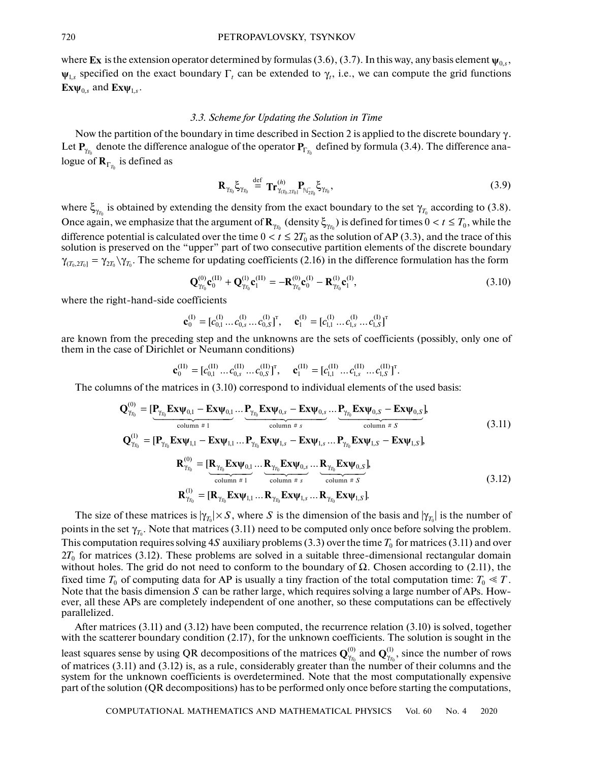where **Ex** is the extension operator determined by formulas (3.6), (3.7). In this way, any basis element  $\psi_{0,s}$ ,  $\Psi_{1,s}$  specified on the exact boundary  $\Gamma_t$  can be extended to  $\gamma_t$ , i.e., we can compute the grid functions  $\mathbf{Ex}\mathbf{\psi}_{0,s}$  and  $\mathbf{Ex}\mathbf{\psi}_{1,s}$ .

# *3.3. Scheme for Updating the Solution in Time*

Now the partition of the boundary in time described in Section 2 is applied to the discrete boundary  $\gamma$ . Let  $P_{\gamma_{\tau_0}}$  denote the difference analogue of the operator  $P_{\Gamma_{\tau_0}}$  defined by formula (3.4). The difference ana-<br>logue of  $P_{\tau_0}$  is defined as logue of  $\mathbf{R}_{\Gamma_{T_0}}$  is defined as

$$
\mathbf{R}_{\gamma_{T_0}}\boldsymbol{\xi}_{\gamma_{T_0}} \stackrel{\text{def}}{=} \mathbf{Tr}_{\gamma_{(T_0,2T_0)}}^{\langle h \rangle} \mathbf{P}_{\mathbb{N}_{T_0}} \boldsymbol{\xi}_{\gamma_{T_0}}, \tag{3.9}
$$

where  $\xi_{\gamma_{\tau_0}}$  is obtained by extending the density from the exact boundary to the set  $\gamma_{T_0}$  according to (3.8). Once again, we emphasize that the argument of  $\mathbf{R}_{\gamma_{T_0}}$  (density  $\xi_{\gamma_{T_0}}$ ) is defined for times  $0 < t \leq T_0$ , while the difference actorial is solvulated symphating  $0 \leq t \leq 2T_0$  as the solvier of AB (2.2), and difference potential is calculated over the time  $0 < t \le 2T_0$  as the solution of AP (3.3), and the trace of this solution is preserved on the "upper" part of two consecutive partition elements of the discrete boundary  $\gamma_{(T_0,2T_0]} = \gamma_{2T_0} \setminus \gamma_{T_0}$ . The scheme for updating coefficients (2.16) in the difference formulation has the form

$$
\mathbf{Q}_{\gamma_{T_0}}^{(0)} \mathbf{c}_0^{(1)} + \mathbf{Q}_{\gamma_{T_0}}^{(1)} \mathbf{c}_1^{(1)} = -\mathbf{R}_{\gamma_{T_0}}^{(0)} \mathbf{c}_0^{(1)} - \mathbf{R}_{\gamma_{T_0}}^{(1)} \mathbf{c}_1^{(1)},
$$
(3.10)

where the right-hand-side coefficients

$$
\mathbf{c}_0^{(I)} = [c_{0,1}^{(I)} \dots c_{0,s}^{(I)} \dots c_{0,S}^{(I)}]^{\mathrm{T}}, \quad \mathbf{c}_1^{(I)} = [c_{1,1}^{(I)} \dots c_{1,s}^{(I)} \dots c_{1,S}^{(I)}]^{\mathrm{T}}
$$

are known from the preceding step and the unknowns are the sets of coefficients (possibly, only one of them in the case of Dirichlet or Neumann conditions)

$$
\mathbf{c}_0^{(\text{II})} = [c_{0,1}^{(\text{II})} \dots c_{0,s}^{(\text{II})} \dots c_{0,S}^{(\text{II})}]^{\text{T}}, \quad \mathbf{c}_1^{(\text{II})} = [c_{1,1}^{(\text{II})} \dots c_{1,s}^{(\text{II})} \dots c_{1,S}^{(\text{II})}]^{\text{T}}.
$$

The columns of the matrices in (3.10) correspond to individual elements of the used basis:

$$
\mathbf{Q}_{\gamma_{T_0}}^{(0)} = [\mathbf{P}_{\gamma_{T_0}} \mathbf{E} \mathbf{x} \boldsymbol{\psi}_{0,1} - \mathbf{E} \mathbf{x} \boldsymbol{\psi}_{0,1} \dots \mathbf{P}_{\gamma_{T_0}} \mathbf{E} \mathbf{x} \boldsymbol{\psi}_{0,s} - \mathbf{E} \mathbf{x} \boldsymbol{\psi}_{0,s} \dots \mathbf{P}_{\gamma_{T_0}} \mathbf{E} \mathbf{x} \boldsymbol{\psi}_{0,s} - \mathbf{E} \mathbf{x} \boldsymbol{\psi}_{0,s}].
$$
\n
$$
\mathbf{Q}_{\gamma_{T_0}}^{(1)} = [\mathbf{P}_{\gamma_{T_0}} \mathbf{E} \mathbf{x} \boldsymbol{\psi}_{1,1} - \mathbf{E} \mathbf{x} \boldsymbol{\psi}_{1,1} \dots \mathbf{P}_{\gamma_{T_0}} \mathbf{E} \mathbf{x} \boldsymbol{\psi}_{1,s} - \mathbf{E} \mathbf{x} \boldsymbol{\psi}_{1,s} \dots \mathbf{P}_{\gamma_{T_0}} \mathbf{E} \mathbf{x} \boldsymbol{\psi}_{1,s} - \mathbf{E} \mathbf{x} \boldsymbol{\psi}_{1,s}].
$$
\n
$$
\mathbf{R}_{\gamma_{T_0}}^{(0)} = [\mathbf{R}_{\gamma_{T_0}} \mathbf{E} \mathbf{x} \boldsymbol{\psi}_{0,1} \dots \mathbf{R}_{\gamma_{T_0}} \mathbf{E} \mathbf{x} \boldsymbol{\psi}_{0,s} \dots \mathbf{R}_{\gamma_{T_0}} \mathbf{E} \mathbf{x} \boldsymbol{\psi}_{0,s}].
$$
\n
$$
\mathbf{R}_{\gamma_{T_0}}^{(1)} = [\mathbf{R}_{\gamma_{T_0}} \mathbf{E} \mathbf{x} \boldsymbol{\psi}_{1,1} \dots \mathbf{R}_{\gamma_{T_0}} \mathbf{E} \mathbf{x} \boldsymbol{\psi}_{1,s} \dots \mathbf{R}_{\gamma_{T_0}} \mathbf{E} \mathbf{x} \boldsymbol{\psi}_{1,s}].
$$
\n(3.12)

The size of these matrices is  $|\gamma_{T_0}| \times S$ , where S is the dimension of the basis and  $|\gamma_{T_0}|$  is the number of points in the set  $\gamma_{T_0}$ . Note that matrices (3.11) need to be computed only once before solving the problem. This computation requires solving  $4S$  auxiliary problems (3.3) over the time  $T_0$  for matrices (3.11) and over  $2T<sub>0</sub>$  for matrices (3.12). These problems are solved in a suitable three-dimensional rectangular domain without holes. The grid do not need to conform to the boundary of  $\Omega$ . Chosen according to (2.11), the fixed time  $T_0$  of computing data for AP is usually a tiny fraction of the total computation time:  $T_0 \ll T$ . Note that the basis dimension S can be rather large, which requires solving a large number of APs. However, all these APs are completely independent of one another, so these computations can be effectively parallelized.

After matrices (3.11) and (3.12) have been computed, the recurrence relation (3.10) is solved, together with the scatterer boundary condition (2.17), for the unknown coefficients. The solution is sought in the least squares sense by using QR decompositions of the matrices  $Q_{v_n}^{(0)}$  and  $Q_{v_n}^{(1)}$ , since the number of rows between the matrices (3.11) and (3.12) is, as a rule, considerably greater than the number of their columns and the matrices (3.11) and (3.12) is, as a rule, considerably greater than the number of their columns and the system for the unknown coefficients is overdetermined. Note that the most computationally expensive part of the solution (QR decompositions) has to be performed only once before starting the computations, (0)  $\mathbf{Q}_{\gamma_{T_0}}$  and  $\mathbf{Q}_{\gamma_{T_0}}$ <br>an the numbe (1) **Q** *<sup>T</sup>*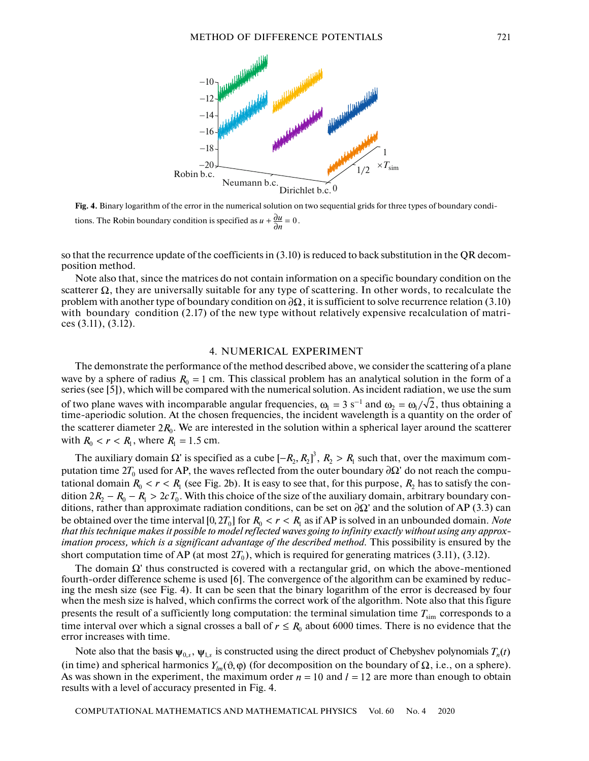

**Fig. 4.** Binary logarithm of the error in the numerical solution on two sequential grids for three types of boundary conditions. The Robin boundary condition is specified as  $u + \frac{\partial u}{\partial n} = 0$ .

so that the recurrence update of the coefficients in (3.10) is reduced to back substitution in the QR decomposition method.

Note also that, since the matrices do not contain information on a specific boundary condition on the scatterer  $\Omega$ , they are universally suitable for any type of scattering. In other words, to recalculate the problem with another type of boundary condition on  $\partial\Omega$  , it is sufficient to solve recurrence relation (3.10) with boundary condition (2.17) of the new type without relatively expensive recalculation of matrices (3.11), (3.12).

# 4. NUMERICAL EXPERIMENT

The demonstrate the performance of the method described above, we consider the scattering of a plane wave by a sphere of radius  $R_0 = 1$  cm. This classical problem has an analytical solution in the form of a series (see [5]), which will be compared with the numerical solution. As incident radiation, we use the sum of two plane waves with incomparable angular frequencies,  $\omega_1 = 3$  s<sup>-1</sup> and  $\omega_2 = \omega_1/\sqrt{2}$ , thus obtaining a time-aperiodic solution. At the chosen frequencies, the incident wavelength is a quantity on the order of the scatterer diameter  $2R_0$ . We are interested in the solution within a spherical layer around the scatterer with  $R_0 < r < R_1$ , where  $R_1 = 1.5$  cm.  $\omega_1 = 3$  s<sup>-1</sup> and  $\omega_2 = \omega_1/\sqrt{2}$ 

The auxiliary domain  $\Omega'$  is specified as a cube  $[-R_2, R_2]^3$ ,  $R_2 > R_1$  such that, over the maximum computation time  $2T_0$  used for AP, the waves reflected from the outer boundary  $\partial \Omega'$  do not reach the computational domain  $R_0 < r < R_1$  (see Fig. 2b). It is easy to see that, for this purpose,  $R_2$  has to satisfy the condition  $2R_2 - R_0 - R_1 > 2cT_0$ . With this choice of the size of the auxiliary domain, arbitrary boundary conditions, rather than approximate radiation conditions, can be set on  $\partial\Omega'$  and the solution of AP (3.3) can be obtained over the time interval  $[0, 2T_0]$  for  $R_0 < r < R_1$  as if AP is solved in an unbounded domain. *Note that this technique makes it possible to model reflected waves going to infinity exactly without using any approximation process, which is a significant advantage of the described method.* This possibility is ensured by the short computation time of AP (at most  $2T_0$ ), which is required for generating matrices (3.11), (3.12).

The domain  $\Omega'$  thus constructed is covered with a rectangular grid, on which the above-mentioned fourth-order difference scheme is used [6]. The convergence of the algorithm can be examined by reducing the mesh size (see Fig. 4). It can be seen that the binary logarithm of the error is decreased by four when the mesh size is halved, which confirms the correct work of the algorithm. Note also that this figure presents the result of a sufficiently long computation: the terminal simulation time  $T_{\textrm{sim}}$  corresponds to a time interval over which a signal crosses a ball of  $r \leq R_0$  about 6000 times. There is no evidence that the error increases with time.

Note also that the basis  $\psi_{0,s}$ ,  $\psi_{1,s}$  is constructed using the direct product of Chebyshev polynomials  $T_n(t)$ (in time) and spherical harmonics  $Y_{lm}(\vartheta, \varphi)$  (for decomposition on the boundary of  $\Omega$ , i.e., on a sphere). As was shown in the experiment, the maximum order  $n = 10$  and  $l = 12$  are more than enough to obtain results with a level of accuracy presented in Fig. 4.